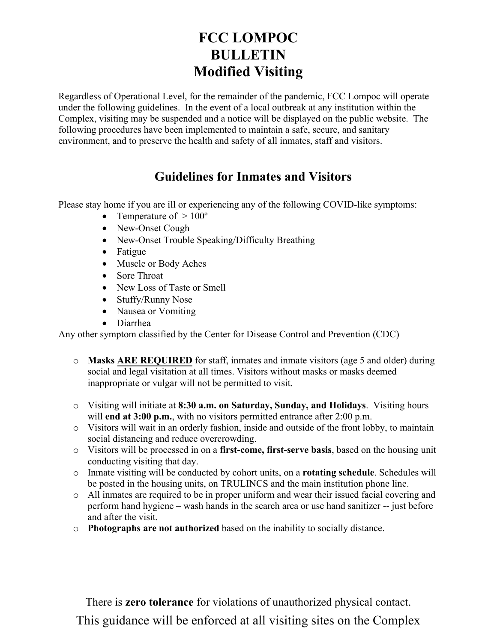## **FCC LOMPOC BULLETIN Modified Visiting**

Regardless of Operational Level, for the remainder of the pandemic, FCC Lompoc will operate under the following guidelines. In the event of a local outbreak at any institution within the Complex, visiting may be suspended and a notice will be displayed on the public website. The following procedures have been implemented to maintain a safe, secure, and sanitary environment, and to preserve the health and safety of all inmates, staff and visitors.

## **Guidelines for Inmates and Visitors**

Please stay home if you are ill or experiencing any of the following COVID-like symptoms:

- Temperature of  $> 100^\circ$
- New-Onset Cough
- New-Onset Trouble Speaking/Difficulty Breathing
- Fatigue
- Muscle or Body Aches
- Sore Throat
- New Loss of Taste or Smell
- Stuffy/Runny Nose
- Nausea or Vomiting
- Diarrhea

Any other symptom classified by the Center for Disease Control and Prevention (CDC)

- o **Masks ARE REQUIRED** for staff, inmates and inmate visitors (age 5 and older) during social and legal visitation at all times. Visitors without masks or masks deemed inappropriate or vulgar will not be permitted to visit.
- o Visiting will initiate at **8:30 a.m. on Saturday, Sunday, and Holidays**. Visiting hours will **end at 3:00 p.m.**, with no visitors permitted entrance after 2:00 p.m.
- o Visitors will wait in an orderly fashion, inside and outside of the front lobby, to maintain social distancing and reduce overcrowding.
- o Visitors will be processed in on a **first-come, first-serve basis**, based on the housing unit conducting visiting that day.
- o Inmate visiting will be conducted by cohort units, on a **rotating schedule**. Schedules will be posted in the housing units, on TRULINCS and the main institution phone line.
- o All inmates are required to be in proper uniform and wear their issued facial covering and perform hand hygiene – wash hands in the search area or use hand sanitizer -- just before and after the visit.
- o **Photographs are not authorized** based on the inability to socially distance.

There is **zero tolerance** for violations of unauthorized physical contact.

This guidance will be enforced at all visiting sites on the Complex